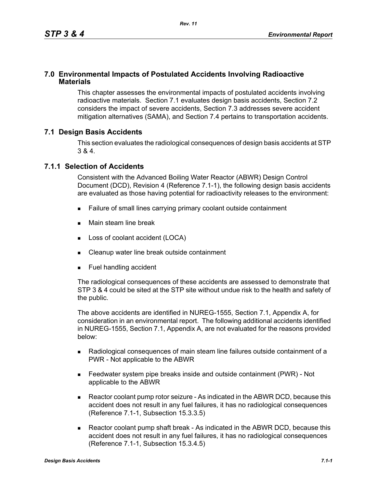### **7.0 Environmental Impacts of Postulated Accidents Involving Radioactive Materials**

This chapter assesses the environmental impacts of postulated accidents involving radioactive materials. Section 7.1 evaluates design basis accidents, Section 7.2 considers the impact of severe accidents, Section 7.3 addresses severe accident mitigation alternatives (SAMA), and Section 7.4 pertains to transportation accidents.

### **7.1 Design Basis Accidents**

This section evaluates the radiological consequences of design basis accidents at STP 3 & 4.

### **7.1.1 Selection of Accidents**

Consistent with the Advanced Boiling Water Reactor (ABWR) Design Control Document (DCD), Revision 4 (Reference 7.1-1), the following design basis accidents are evaluated as those having potential for radioactivity releases to the environment:

- Failure of small lines carrying primary coolant outside containment
- **Main steam line break**
- **Loss of coolant accident (LOCA)**
- Cleanup water line break outside containment
- **Fuel handling accident**

The radiological consequences of these accidents are assessed to demonstrate that STP 3 & 4 could be sited at the STP site without undue risk to the health and safety of the public.

The above accidents are identified in NUREG-1555, Section 7.1, Appendix A, for consideration in an environmental report. The following additional accidents identified in NUREG-1555, Section 7.1, Appendix A, are not evaluated for the reasons provided below:

- Radiological consequences of main steam line failures outside containment of a PWR - Not applicable to the ABWR
- Feedwater system pipe breaks inside and outside containment (PWR) Not applicable to the ABWR
- Reactor coolant pump rotor seizure As indicated in the ABWR DCD, because this accident does not result in any fuel failures, it has no radiological consequences (Reference 7.1-1, Subsection 15.3.3.5)
- Reactor coolant pump shaft break As indicated in the ABWR DCD, because this accident does not result in any fuel failures, it has no radiological consequences (Reference 7.1-1, Subsection 15.3.4.5)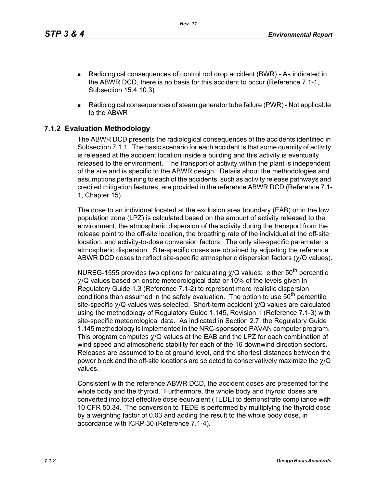*Rev. 11*

- Radiological consequences of control rod drop accident (BWR) As indicated in the ABWR DCD, there is no basis for this accident to occur (Reference 7.1-1, Subsection 15.4.10.3)
- Radiological consequences of steam generator tube failure (PWR) Not applicable to the ABWR

## **7.1.2 Evaluation Methodology**

The ABWR DCD presents the radiological consequences of the accidents identified in Subsection 7.1.1. The basic scenario for each accident is that some quantity of activity is released at the accident location inside a building and this activity is eventually released to the environment. The transport of activity within the plant is independent of the site and is specific to the ABWR design. Details about the methodologies and assumptions pertaining to each of the accidents, such as activity release pathways and credited mitigation features, are provided in the reference ABWR DCD (Reference 7.1- 1, Chapter 15).

The dose to an individual located at the exclusion area boundary (EAB) or in the low population zone (LPZ) is calculated based on the amount of activity released to the environment, the atmospheric dispersion of the activity during the transport from the release point to the off-site location, the breathing rate of the individual at the off-site location, and activity-to-dose conversion factors. The only site-specific parameter is atmospheric dispersion. Site-specific doses are obtained by adjusting the reference ABWR DCD doses to reflect site-specific atmospheric dispersion factors (χ/Q values).

NUREG-1555 provides two options for calculating  $\chi$ /Q values: either 50<sup>th</sup> percentile χ/Q values based on onsite meteorological data or 10% of the levels given in Regulatory Guide 1.3 (Reference 7.1-2) to represent more realistic dispersion conditions than assumed in the safety evaluation. The option to use  $50<sup>th</sup>$  percentile site-specific χ/Q values was selected. Short-term accident χ/Q values are calculated using the methodology of Regulatory Guide 1.145, Revision 1 (Reference 7.1-3) with site-specific meteorological data. As indicated in Section 2.7, the Regulatory Guide 1.145 methodology is implemented in the NRC-sponsored PAVAN computer program. This program computes χ/Q values at the EAB and the LPZ for each combination of wind speed and atmospheric stability for each of the 16 downwind direction sectors. Releases are assumed to be at ground level, and the shortest distances between the power block and the off-site locations are selected to conservatively maximize the  $\chi$ /Q values.

Consistent with the reference ABWR DCD, the accident doses are presented for the whole body and the thyroid. Furthermore, the whole body and thyroid doses are converted into total effective dose equivalent (TEDE) to demonstrate compliance with 10 CFR 50.34. The conversion to TEDE is performed by multiplying the thyroid dose by a weighting factor of 0.03 and adding the result to the whole body dose, in accordance with ICRP 30 (Reference 7.1-4).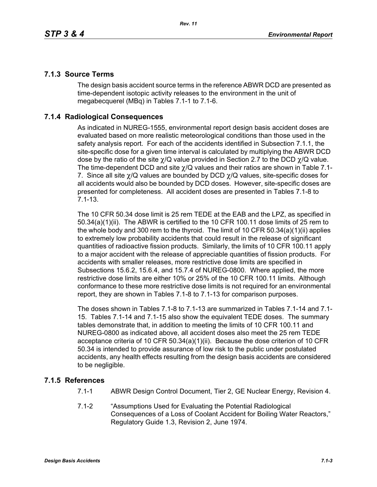### **7.1.3 Source Terms**

The design basis accident source terms in the reference ABWR DCD are presented as time-dependent isotopic activity releases to the environment in the unit of megabecquerel (MBq) in Tables 7.1-1 to 7.1-6.

### **7.1.4 Radiological Consequences**

As indicated in NUREG-1555, environmental report design basis accident doses are evaluated based on more realistic meteorological conditions than those used in the safety analysis report. For each of the accidents identified in Subsection 7.1.1, the site-specific dose for a given time interval is calculated by multiplying the ABWR DCD dose by the ratio of the site  $\chi$ /Q value provided in Section 2.7 to the DCD  $\chi$ /Q value. The time-dependent DCD and site  $\gamma$ /Q values and their ratios are shown in Table 7.1-7. Since all site  $\chi$ /Q values are bounded by DCD  $\chi$ /Q values, site-specific doses for all accidents would also be bounded by DCD doses. However, site-specific doses are presented for completeness. All accident doses are presented in Tables 7.1-8 to 7.1-13.

The 10 CFR 50.34 dose limit is 25 rem TEDE at the EAB and the LPZ, as specified in 50.34(a)(1)(ii). The ABWR is certified to the 10 CFR 100.11 dose limits of 25 rem to the whole body and 300 rem to the thyroid. The limit of 10 CFR 50.34(a)(1)(ii) applies to extremely low probability accidents that could result in the release of significant quantities of radioactive fission products. Similarly, the limits of 10 CFR 100.11 apply to a major accident with the release of appreciable quantities of fission products. For accidents with smaller releases, more restrictive dose limits are specified in Subsections 15.6.2, 15.6.4, and 15.7.4 of NUREG-0800. Where applied, the more restrictive dose limits are either 10% or 25% of the 10 CFR 100.11 limits. Although conformance to these more restrictive dose limits is not required for an environmental report, they are shown in Tables 7.1-8 to 7.1-13 for comparison purposes.

The doses shown in Tables 7.1-8 to 7.1-13 are summarized in Tables 7.1-14 and 7.1- 15. Tables 7.1-14 and 7.1-15 also show the equivalent TEDE doses. The summary tables demonstrate that, in addition to meeting the limits of 10 CFR 100.11 and NUREG-0800 as indicated above, all accident doses also meet the 25 rem TEDE acceptance criteria of 10 CFR 50.34(a)(1)(ii). Because the dose criterion of 10 CFR 50.34 is intended to provide assurance of low risk to the public under postulated accidents, any health effects resulting from the design basis accidents are considered to be negligible.

### **7.1.5 References**

- 7.1-1 ABWR Design Control Document, Tier 2, GE Nuclear Energy, Revision 4.
- 7.1-2 "Assumptions Used for Evaluating the Potential Radiological Consequences of a Loss of Coolant Accident for Boiling Water Reactors," Regulatory Guide 1.3, Revision 2, June 1974.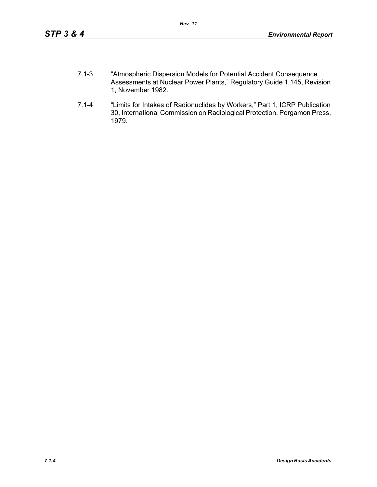- 7.1-3 "Atmospheric Dispersion Models for Potential Accident Consequence Assessments at Nuclear Power Plants," Regulatory Guide 1.145, Revision 1, November 1982.
- 7.1-4 "Limits for Intakes of Radionuclides by Workers," Part 1, ICRP Publication 30, International Commission on Radiological Protection, Pergamon Press, 1979.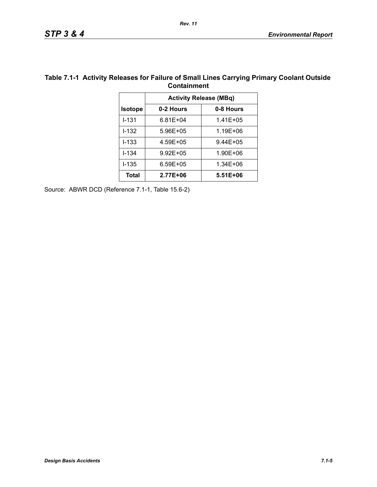|                |              | <b>Activity Release (MBq)</b> |
|----------------|--------------|-------------------------------|
| <b>Isotope</b> | 0-2 Hours    | 0-8 Hours                     |
| $1 - 131$      | 6.81E+04     | $1.41E + 05$                  |
| $1 - 132$      | 5.96E+05     | 1.19E+06                      |
| $I - 133$      | 4.59E+05     | $9.44E + 05$                  |
| $I - 134$      | $9.92E + 05$ | 1.90E+06                      |
| $I - 135$      | $6.59E + 05$ | 1.34E+06                      |
| Total          | 2.77E+06     | $5.51E + 06$                  |

# **Table 7.1-1 Activity Releases for Failure of Small Lines Carrying Primary Coolant Outside**

Source: ABWR DCD (Reference 7.1-1, Table 15.6-2)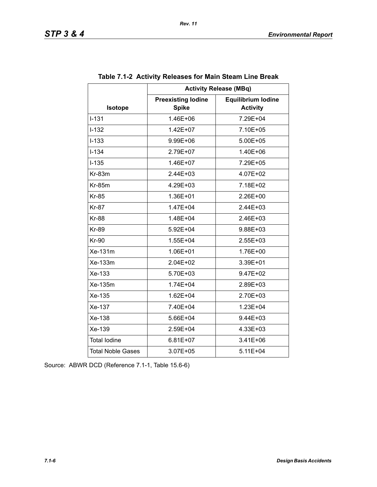|                          | <b>Activity Release (MBq)</b>             |                                              |  |  |
|--------------------------|-------------------------------------------|----------------------------------------------|--|--|
| Isotope                  | <b>Preexisting lodine</b><br><b>Spike</b> | <b>Equilibrium lodine</b><br><b>Activity</b> |  |  |
| $I - 131$                | 1.46E+06                                  | 7.29E+04                                     |  |  |
| $I-132$                  | 1.42E+07                                  | 7.10E+05                                     |  |  |
| $I-133$                  | 9.99E+06                                  | 5.00E+05                                     |  |  |
| $I - 134$                | 2.79E+07                                  | 1.40E+06                                     |  |  |
| $I-135$                  | 1.46E+07                                  | 7.29E+05                                     |  |  |
| $Kr-83m$                 | $2.44E + 03$                              | 4.07E+02                                     |  |  |
| <b>Kr-85m</b>            | 4.29E+03                                  | 7.18E+02                                     |  |  |
| <b>Kr-85</b>             | 1.36E+01                                  | 2.26E+00                                     |  |  |
| <b>Kr-87</b>             | 1.47E+04                                  | 2.44E+03                                     |  |  |
| <b>Kr-88</b>             | 1.48E+04                                  | $2.46E + 03$                                 |  |  |
| <b>Kr-89</b>             | 5.92E+04                                  | 9.88E+03                                     |  |  |
| <b>Kr-90</b>             | 1.55E+04                                  | 2.55E+03                                     |  |  |
| Xe-131m                  | 1.06E+01                                  | 1.76E+00                                     |  |  |
| Xe-133m                  | $2.04E + 02$                              | 3.39E+01                                     |  |  |
| Xe-133                   | 5.70E+03                                  | 9.47E+02                                     |  |  |
| Xe-135m                  | 1.74E+04                                  | 2.89E+03                                     |  |  |
| Xe-135                   | 1.62E+04                                  | 2.70E+03                                     |  |  |
| Xe-137                   | 7.40E+04                                  | 1.23E+04                                     |  |  |
| Xe-138                   | 5.66E+04                                  | 9.44E+03                                     |  |  |
| Xe-139                   | 2.59E+04                                  | 4.33E+03                                     |  |  |
| <b>Total lodine</b>      | $6.81E+07$                                | 3.41E+06                                     |  |  |
| <b>Total Noble Gases</b> | 3.07E+05                                  | $5.11E + 04$                                 |  |  |

|  | Table 7.1-2 Activity Releases for Main Steam Line Break |  |
|--|---------------------------------------------------------|--|
|--|---------------------------------------------------------|--|

Source: ABWR DCD (Reference 7.1-1, Table 15.6-6)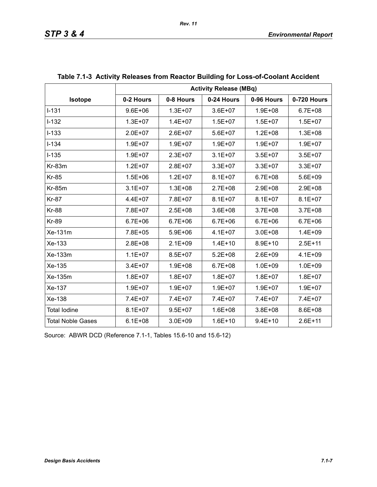|                          | <b>Activity Release (MBq)</b> |             |             |             |             |  |
|--------------------------|-------------------------------|-------------|-------------|-------------|-------------|--|
| Isotope                  | 0-2 Hours                     | 0-8 Hours   | 0-24 Hours  | 0-96 Hours  | 0-720 Hours |  |
| $I-131$                  | $9.6E + 06$                   | $1.3E + 07$ | $3.6E + 07$ | $1.9E + 08$ | $6.7E + 08$ |  |
| $I-132$                  | $1.3E + 07$                   | $1.4E + 07$ | $1.5E + 07$ | $1.5E + 07$ | $1.5E + 07$ |  |
| $I-133$                  | $2.0E + 07$                   | $2.6E + 07$ | $5.6E + 07$ | $1.2E + 08$ | $1.3E + 08$ |  |
| $I - 134$                | $1.9E + 07$                   | $1.9E + 07$ | $1.9E + 07$ | $1.9E + 07$ | $1.9E + 07$ |  |
| $I-135$                  | $1.9E + 07$                   | $2.3E + 07$ | $3.1E + 07$ | $3.5E + 07$ | $3.5E + 07$ |  |
| Kr-83m                   | $1.2E + 07$                   | $2.8E + 07$ | $3.3E + 07$ | $3.3E + 07$ | 3.3E+07     |  |
| <b>Kr-85</b>             | $1.5E + 06$                   | $1.2E + 07$ | $8.1E + 07$ | $6.7E + 08$ | 5.6E+09     |  |
| <b>Kr-85m</b>            | $3.1E + 07$                   | $1.3E + 08$ | 2.7E+08     | $2.9E + 08$ | 2.9E+08     |  |
| <b>Kr-87</b>             | $4.4E + 07$                   | 7.8E+07     | $8.1E + 07$ | $8.1E + 07$ | $8.1E + 07$ |  |
| <b>Kr-88</b>             | 7.8E+07                       | $2.5E + 08$ | $3.6E + 08$ | $3.7E + 08$ | $3.7E + 08$ |  |
| <b>Kr-89</b>             | $6.7E + 06$                   | $6.7E + 06$ | $6.7E + 06$ | $6.7E + 06$ | $6.7E + 06$ |  |
| Xe-131m                  | 7.8E+05                       | $5.9E + 06$ | $4.1E + 07$ | $3.0E + 08$ | $1.4E + 09$ |  |
| Xe-133                   | $2.8E + 08$                   | $2.1E + 09$ | $1.4E + 10$ | $8.9E + 10$ | $2.5E + 11$ |  |
| Xe-133m                  | $1.1E + 07$                   | $8.5E + 07$ | $5.2E + 08$ | $2.6E + 09$ | $4.1E + 09$ |  |
| Xe-135                   | $3.4E + 07$                   | $1.9E + 08$ | $6.7E + 08$ | $1.0E + 09$ | $1.0E + 09$ |  |
| Xe-135m                  | $1.8E + 07$                   | $1.8E + 07$ | $1.8E + 07$ | $1.8E + 07$ | $1.8E + 07$ |  |
| Xe-137                   | $1.9E + 07$                   | $1.9E + 07$ | $1.9E + 07$ | $1.9E + 07$ | $1.9E + 07$ |  |
| Xe-138                   | 7.4E+07                       | 7.4E+07     | 7.4E+07     | 7.4E+07     | 7.4E+07     |  |
| <b>Total lodine</b>      | $8.1E + 07$                   | $9.5E + 07$ | $1.6E + 08$ | $3.8E + 08$ | 8.6E+08     |  |
| <b>Total Noble Gases</b> | $6.1E + 08$                   | $3.0E + 09$ | $1.6E + 10$ | $9.4E + 10$ | $2.6E + 11$ |  |

# **Table 7.1-3 Activity Releases from Reactor Building for Loss-of-Coolant Accident**

Source: ABWR DCD (Reference 7.1-1, Tables 15.6-10 and 15.6-12)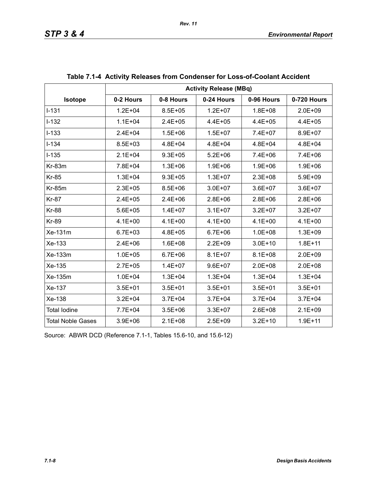|                          | <b>Activity Release (MBq)</b> |             |             |             |             |  |
|--------------------------|-------------------------------|-------------|-------------|-------------|-------------|--|
| Isotope                  | 0-2 Hours                     | 0-8 Hours   | 0-24 Hours  | 0-96 Hours  | 0-720 Hours |  |
| $1 - 131$                | $1.2E + 04$                   | $8.5E + 05$ | $1.2E + 07$ | $1.8E + 08$ | $2.0E + 09$ |  |
| $I-132$                  | $1.1E + 04$                   | $2.4E + 05$ | $4.4E + 05$ | $4.4E + 05$ | $4.4E + 05$ |  |
| $I-133$                  | $2.4E + 04$                   | $1.5E + 06$ | $1.5E + 07$ | 7.4E+07     | 8.9E+07     |  |
| $I - 134$                | $8.5E + 03$                   | $4.8E + 04$ | $4.8E + 04$ | $4.8E + 04$ | $4.8E + 04$ |  |
| $I-135$                  | $2.1E + 04$                   | $9.3E + 05$ | $5.2E + 06$ | 7.4E+06     | 7.4E+06     |  |
| $Kr-83m$                 | 7.8E+04                       | $1.3E + 06$ | $1.9E + 06$ | $1.9E + 06$ | $1.9E + 06$ |  |
| <b>Kr-85</b>             | $1.3E + 04$                   | $9.3E + 05$ | $1.3E + 07$ | $2.3E + 08$ | $5.9E + 09$ |  |
| <b>Kr-85m</b>            | $2.3E + 05$                   | $8.5E + 06$ | $3.0E + 07$ | $3.6E + 07$ | $3.6E + 07$ |  |
| <b>Kr-87</b>             | $2.4E + 05$                   | $2.4E + 06$ | $2.8E + 06$ | $2.8E + 06$ | $2.8E + 06$ |  |
| <b>Kr-88</b>             | $5.6E + 05$                   | $1.4E + 07$ | $3.1E + 07$ | $3.2E + 07$ | $3.2E + 07$ |  |
| <b>Kr-89</b>             | $4.1E + 00$                   | $4.1E + 00$ | $4.1E + 00$ | $4.1E + 00$ | $4.1E + 00$ |  |
| $Xe-131m$                | $6.7E + 03$                   | 4.8E+05     | $6.7E + 06$ | $1.0E + 08$ | $1.3E + 09$ |  |
| Xe-133                   | $2.4E + 06$                   | $1.6E + 08$ | $2.2E + 09$ | $3.0E + 10$ | $1.8E + 11$ |  |
| Xe-133m                  | $1.0E + 05$                   | $6.7E + 06$ | $8.1E + 07$ | $8.1E + 08$ | $2.0E + 09$ |  |
| Xe-135                   | $2.7E + 05$                   | $1.4E + 07$ | $9.6E + 07$ | $2.0E + 08$ | $2.0E + 08$ |  |
| Xe-135m                  | $1.0E + 04$                   | $1.3E + 04$ | $1.3E + 04$ | $1.3E + 04$ | $1.3E + 04$ |  |
| Xe-137                   | $3.5E + 01$                   | $3.5E + 01$ | $3.5E + 01$ | $3.5E + 01$ | $3.5E + 01$ |  |
| Xe-138                   | $3.2E + 04$                   | $3.7E + 04$ | $3.7E + 04$ | $3.7E + 04$ | $3.7E + 04$ |  |
| <b>Total lodine</b>      | 7.7E+04                       | $3.5E + 06$ | $3.3E + 07$ | $2.6E + 08$ | $2.1E + 09$ |  |
| <b>Total Noble Gases</b> | $3.9E + 06$                   | $2.1E + 08$ | $2.5E + 09$ | $3.2E + 10$ | $1.9E + 11$ |  |

| Table 7.1-4 Activity Releases from Condenser for Loss-of-Coolant Accident |  |  |
|---------------------------------------------------------------------------|--|--|
|                                                                           |  |  |

Source: ABWR DCD (Reference 7.1-1, Tables 15.6-10, and 15.6-12)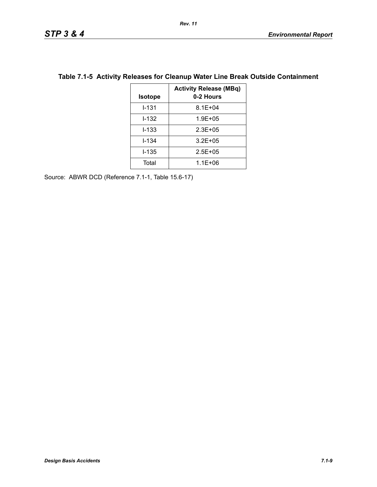| <b>Isotope</b> | <b>Activity Release (MBq)</b><br>0-2 Hours |
|----------------|--------------------------------------------|
| $1 - 131$      | $8.1E + 04$                                |
| $1 - 132$      | $1.9E + 0.5$                               |
| $1 - 133$      | $2.3E + 0.5$                               |
| $I - 134$      | $3.2E + 0.5$                               |
| I-135          | $2.5E + 0.5$                               |
| Total          | $1.1E + 06$                                |

### **Table 7.1-5 Activity Releases for Cleanup Water Line Break Outside Containment**

Source: ABWR DCD (Reference 7.1-1, Table 15.6-17)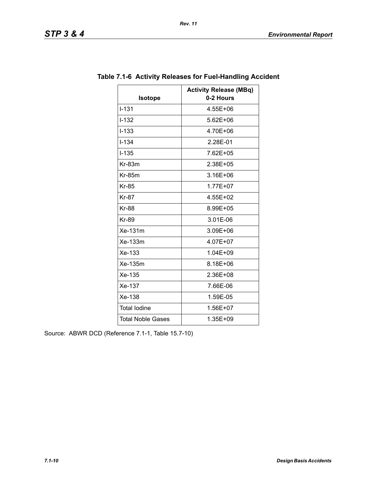| <b>Isotope</b>           | <b>Activity Release (MBq)</b><br>0-2 Hours |
|--------------------------|--------------------------------------------|
| $I - 131$                | 4.55E+06                                   |
| $I - 132$                | 5.62E+06                                   |
| $I - 133$                | 4.70E+06                                   |
| $I - 134$                | 2.28E-01                                   |
| $I - 135$                | 7.62E+05                                   |
| Kr-83m                   | 2.38E+05                                   |
| $Kr-85m$                 | 3.16E+06                                   |
| <b>Kr-85</b>             | 1.77E+07                                   |
| <b>Kr-87</b>             | 4.55E+02                                   |
| <b>Kr-88</b>             | 8.99E+05                                   |
| <b>Kr-89</b>             | 3.01E-06                                   |
| Xe-131m                  | 3.09E+06                                   |
| Xe-133m                  | 4.07E+07                                   |
| Xe-133                   | 1.04E+09                                   |
| Xe-135m                  | 8.18E+06                                   |
| Xe-135                   | 2.36E+08                                   |
| Xe-137                   | 7.66E-06                                   |
| Xe-138                   | 1.59E-05                                   |
| <b>Total lodine</b>      | 1.56E+07                                   |
| <b>Total Noble Gases</b> | 1.35E+09                                   |

### **Table 7.1-6 Activity Releases for Fuel-Handling Accident**

*Rev. 11*

Source: ABWR DCD (Reference 7.1-1, Table 15.7-10)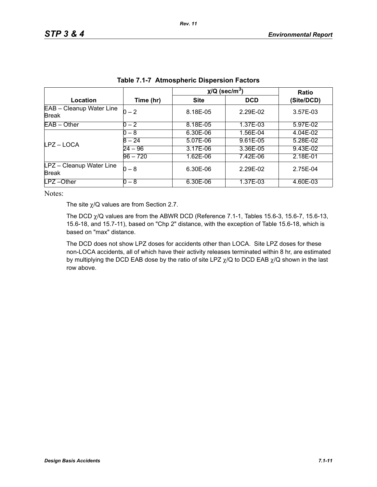|                                          |            | $\chi$ /Q (sec/m <sup>3</sup> ) | Ratio      |            |
|------------------------------------------|------------|---------------------------------|------------|------------|
| Location                                 | Time (hr)  | <b>Site</b>                     | <b>DCD</b> | (Site/DCD) |
| EAB - Cleanup Water Line<br><b>Break</b> | $0 - 2$    | 8.18E-05                        | 2.29E-02   | 3.57E-03   |
| $EAB - Other$                            | $0 - 2$    | 8.18E-05                        | 1.37E-03   | 5.97E-02   |
| LPZ-LOCA                                 | 0 – 8      | 6.30E-06                        | 1.56E-04   | 4.04E-02   |
|                                          | $8 - 24$   | 5.07E-06                        | 9.61E-05   | 5.28E-02   |
|                                          | $24 - 96$  | 3.17E-06                        | $3.36E-05$ | 9.43E-02   |
|                                          | $96 - 720$ | 1.62E-06                        | 7.42E-06   | 2.18E-01   |
| LPZ - Cleanup Water Line<br><b>Break</b> | 0 – 8      | 6.30E-06                        | 2.29E-02   | 2.75E-04   |
| LPZ-Other                                | 0 – 8      | 6.30E-06                        | 1.37E-03   | 4.60E-03   |

| <b>Table 7.1-7 Atmospheric Dispersion Factors</b> |  |  |  |
|---------------------------------------------------|--|--|--|
|---------------------------------------------------|--|--|--|

Notes:

The site  $\chi$ /Q values are from Section 2.7.

The DCD  $\chi$ /Q values are from the ABWR DCD (Reference 7.1-1, Tables 15.6-3, 15.6-7, 15.6-13, 15.6-18, and 15.7-11), based on "Chp 2" distance, with the exception of Table 15.6-18, which is based on "max" distance.

The DCD does not show LPZ doses for accidents other than LOCA. Site LPZ doses for these non-LOCA accidents, all of which have their activity releases terminated within 8 hr, are estimated by multiplying the DCD EAB dose by the ratio of site LPZ  $\chi$ /Q to DCD EAB  $\chi$ /Q shown in the last row above.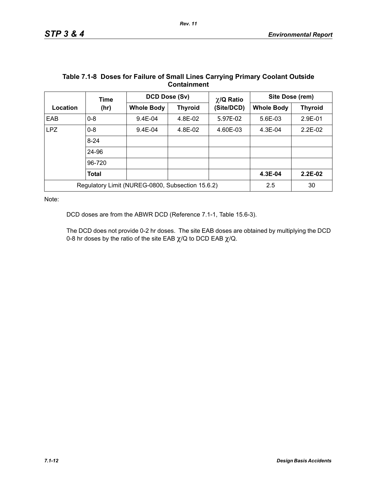|            | Time         | DCD Dose (Sv)                                    |                | $\chi$ /Q Ratio | Site Dose (rem)   |                |
|------------|--------------|--------------------------------------------------|----------------|-----------------|-------------------|----------------|
| Location   | (hr)         | <b>Whole Body</b>                                | <b>Thyroid</b> | (Site/DCD)      | <b>Whole Body</b> | <b>Thyroid</b> |
| EAB        | $0 - 8$      | $9.4E - 04$                                      | 4.8E-02        | 5.97E-02        | 5.6E-03           | 2.9E-01        |
| <b>LPZ</b> | $0 - 8$      | $9.4E - 04$                                      | 4.8E-02        | 4.60E-03        | $4.3E-04$         | $2.2E-02$      |
|            | $8 - 24$     |                                                  |                |                 |                   |                |
|            | 24-96        |                                                  |                |                 |                   |                |
|            | 96-720       |                                                  |                |                 |                   |                |
|            | <b>Total</b> |                                                  |                |                 | 4.3E-04           | $2.2E-02$      |
|            |              | Regulatory Limit (NUREG-0800, Subsection 15.6.2) |                |                 | 2.5               | 30             |

### **Table 7.1-8 Doses for Failure of Small Lines Carrying Primary Coolant Outside Containment**

Note:

DCD doses are from the ABWR DCD (Reference 7.1-1, Table 15.6-3).

The DCD does not provide 0-2 hr doses. The site EAB doses are obtained by multiplying the DCD 0-8 hr doses by the ratio of the site EAB  $\chi$ /Q to DCD EAB  $\chi$ /Q.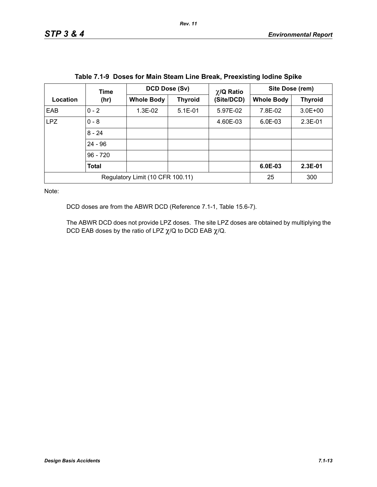|                                  | Time         | DCD Dose (Sv)     |                | $\chi$ /Q Ratio<br>(Site/DCD) | Site Dose (rem)   |                |
|----------------------------------|--------------|-------------------|----------------|-------------------------------|-------------------|----------------|
| Location                         | (hr)         | <b>Whole Body</b> | <b>Thyroid</b> |                               | <b>Whole Body</b> | <b>Thyroid</b> |
| EAB                              | $0 - 2$      | $1.3E-02$         | $5.1E - 01$    | 5.97E-02                      | 7.8E-02           | $3.0E + 00$    |
| <b>LPZ</b>                       | $0 - 8$      |                   |                | 4.60E-03                      | $6.0E-03$         | $2.3E-01$      |
|                                  | $8 - 24$     |                   |                |                               |                   |                |
|                                  | $24 - 96$    |                   |                |                               |                   |                |
|                                  | $96 - 720$   |                   |                |                               |                   |                |
|                                  | <b>Total</b> |                   |                |                               | $6.0E-03$         | $2.3E-01$      |
| Regulatory Limit (10 CFR 100.11) |              |                   | 25             | 300                           |                   |                |

| Table 7.1-9 Doses for Main Steam Line Break, Preexisting lodine Spike |  |  |  |  |  |  |  |  |
|-----------------------------------------------------------------------|--|--|--|--|--|--|--|--|
|-----------------------------------------------------------------------|--|--|--|--|--|--|--|--|

Note:

DCD doses are from the ABWR DCD (Reference 7.1-1, Table 15.6-7).

The ABWR DCD does not provide LPZ doses. The site LPZ doses are obtained by multiplying the DCD EAB doses by the ratio of LPZ  $\chi$ /Q to DCD EAB  $\chi$ /Q.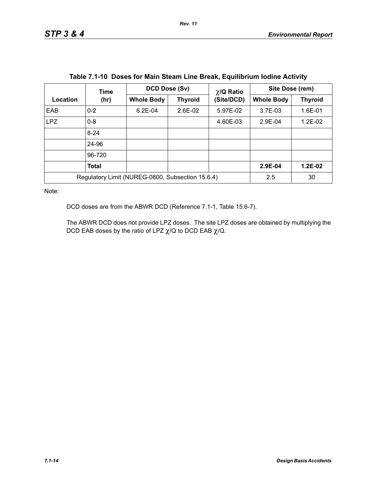|            | Time                                             | DCD Dose (Sv)     |                | $\chi$ /Q Ratio | Site Dose (rem)   |                |  |
|------------|--------------------------------------------------|-------------------|----------------|-----------------|-------------------|----------------|--|
| Location   | (hr)                                             | <b>Whole Body</b> | <b>Thyroid</b> | (Site/DCD)      | <b>Whole Body</b> | <b>Thyroid</b> |  |
| <b>EAB</b> | $0 - 2$                                          | $6.2E - 04$       | $2.6E-02$      | 5.97E-02        | 3.7E-03           | 1.6E-01        |  |
| <b>LPZ</b> | $0 - 8$                                          |                   |                | 4.60E-03        | $2.9E-04$         | $1.2E-02$      |  |
|            | $8 - 24$                                         |                   |                |                 |                   |                |  |
|            | 24-96                                            |                   |                |                 |                   |                |  |
|            | 96-720                                           |                   |                |                 |                   |                |  |
|            | Total                                            |                   |                |                 | 2.9E-04           | $1.2E-02$      |  |
|            | Regulatory Limit (NUREG-0800, Subsection 15.6.4) | 2.5               | 30             |                 |                   |                |  |

| Table 7.1-10 Doses for Main Steam Line Break, Equilibrium Iodine Activity |  |  |  |  |  |
|---------------------------------------------------------------------------|--|--|--|--|--|
|---------------------------------------------------------------------------|--|--|--|--|--|

Note:

DCD doses are from the ABWR DCD (Reference 7.1-1, Table 15.6-7).

The ABWR DCD does not provide LPZ doses. The site LPZ doses are obtained by multiplying the DCD EAB doses by the ratio of LPZ  $\chi$ /Q to DCD EAB  $\chi$ /Q.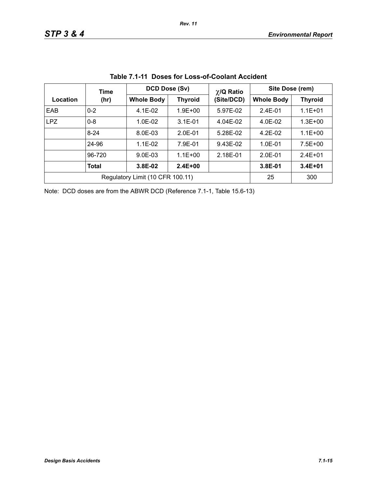|            | Time                             | DCD Dose (Sv)     |                | $\chi$ /Q Ratio | Site Dose (rem)   |                |  |
|------------|----------------------------------|-------------------|----------------|-----------------|-------------------|----------------|--|
| Location   | (hr)                             | <b>Whole Body</b> | <b>Thyroid</b> | (Site/DCD)      | <b>Whole Body</b> | <b>Thyroid</b> |  |
| EAB        | $0 - 2$                          | $4.1E-02$         | $1.9E + 00$    | 5.97E-02        | $2.4E - 01$       | $1.1E + 01$    |  |
| <b>LPZ</b> | $0 - 8$                          | $1.0E-02$         | $3.1E - 01$    | 4.04E-02        | 4.0E-02           | $1.3E + 00$    |  |
|            | $8 - 24$                         | 8.0E-03           | $2.0E-01$      | 5.28E-02        | $4.2E-02$         | $1.1E + 00$    |  |
|            | 24-96                            | $1.1E-02$         | 7.9E-01        | 9.43E-02        | $1.0E - 01$       | $7.5E + 00$    |  |
|            | 96-720                           | $9.0E - 03$       | $1.1E + 00$    | 2.18E-01        | $2.0E - 01$       | $2.4F + 01$    |  |
|            | Total                            | 3.8E-02           | $2.4E + 00$    |                 | 3.8E-01           | $3.4E + 01$    |  |
|            | Regulatory Limit (10 CFR 100.11) | 25                | 300            |                 |                   |                |  |

**Table 7.1-11 Doses for Loss-of-Coolant Accident**

Note: DCD doses are from the ABWR DCD (Reference 7.1-1, Table 15.6-13)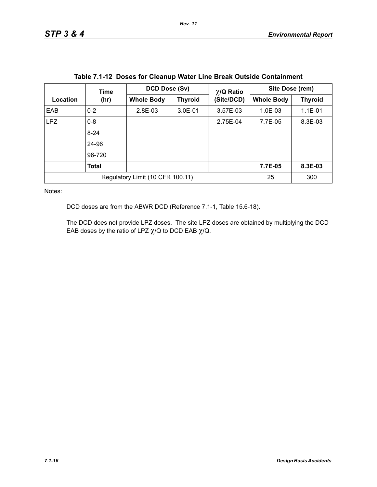|            | Time                             | <b>DCD Dose (Sv)</b> | $\chi$ /Q Ratio |            | Site Dose (rem)   |                |  |
|------------|----------------------------------|----------------------|-----------------|------------|-------------------|----------------|--|
| Location   | (hr)                             | <b>Whole Body</b>    | <b>Thyroid</b>  | (Site/DCD) | <b>Whole Body</b> | <b>Thyroid</b> |  |
| EAB        | $0 - 2$                          | 2.8E-03              | $3.0E - 01$     | 3.57E-03   | 1.0E-03           | $1.1E-01$      |  |
| <b>LPZ</b> | $0 - 8$                          |                      |                 | 2.75E-04   | 7.7E-05           | 8.3E-03        |  |
|            | $8 - 24$                         |                      |                 |            |                   |                |  |
|            | 24-96                            |                      |                 |            |                   |                |  |
|            | 96-720                           |                      |                 |            |                   |                |  |
|            | <b>Total</b>                     |                      |                 |            | 7.7E-05           | 8.3E-03        |  |
|            | Regulatory Limit (10 CFR 100.11) | 25                   | 300             |            |                   |                |  |

| Table 7.1-12 Doses for Cleanup Water Line Break Outside Containment |  |  |
|---------------------------------------------------------------------|--|--|
|---------------------------------------------------------------------|--|--|

Notes:

DCD doses are from the ABWR DCD (Reference 7.1-1, Table 15.6-18).

The DCD does not provide LPZ doses. The site LPZ doses are obtained by multiplying the DCD EAB doses by the ratio of LPZ  $\chi$ /Q to DCD EAB  $\chi$ /Q.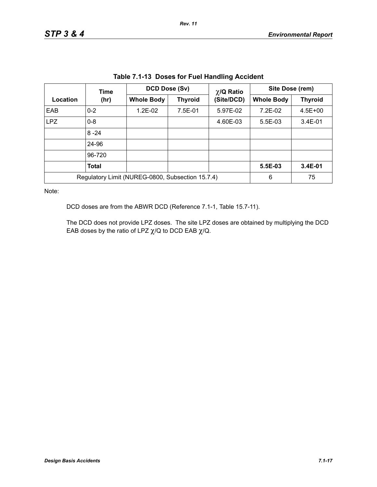| rable 7.1-13 Doses for Fuel Handling Accident |                                                                                                       |           |                   |                |                 |             |  |
|-----------------------------------------------|-------------------------------------------------------------------------------------------------------|-----------|-------------------|----------------|-----------------|-------------|--|
|                                               | DCD Dose (Sv)<br>$\chi$ /Q Ratio<br>Time<br><b>Whole Body</b><br>(Site/DCD)<br><b>Thyroid</b><br>(hr) |           |                   |                | Site Dose (rem) |             |  |
| Location                                      |                                                                                                       |           | <b>Whole Body</b> | <b>Thyroid</b> |                 |             |  |
| EAB                                           | $0 - 2$                                                                                               | $1.2E-02$ | 7.5E-01           | 5.97E-02       | 7.2E-02         | $4.5E + 00$ |  |
| LPZ                                           | $0 - 8$                                                                                               |           |                   | 4.60E-03       | 5.5E-03         | $3.4E - 01$ |  |
|                                               | $8 - 24$                                                                                              |           |                   |                |                 |             |  |
|                                               | 24-96                                                                                                 |           |                   |                |                 |             |  |
|                                               | 96-720                                                                                                |           |                   |                |                 |             |  |
|                                               | <b>Total</b>                                                                                          |           |                   |                | 5.5E-03         | 3.4E-01     |  |
|                                               | Regulatory Limit (NUREG-0800, Subsection 15.7.4)                                                      | 6         | 75                |                |                 |             |  |

**Table 7.1-13 Doses for Fuel Handling Accident**

Note:

DCD doses are from the ABWR DCD (Reference 7.1-1, Table 15.7-11).

The DCD does not provide LPZ doses. The site LPZ doses are obtained by multiplying the DCD EAB doses by the ratio of LPZ  $\chi$ /Q to DCD EAB  $\chi$ /Q.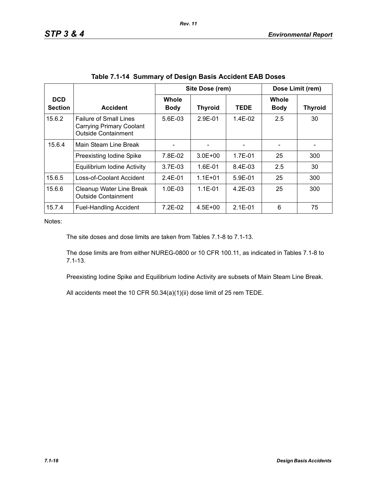|                              |                                                                                         |                             | Site Dose (rem) |             |                             | Dose Limit (rem) |
|------------------------------|-----------------------------------------------------------------------------------------|-----------------------------|-----------------|-------------|-----------------------------|------------------|
| <b>DCD</b><br><b>Section</b> | <b>Accident</b>                                                                         | <b>Whole</b><br><b>Body</b> | <b>Thyroid</b>  | <b>TEDE</b> | <b>Whole</b><br><b>Body</b> | <b>Thyroid</b>   |
| 15.6.2                       | <b>Failure of Small Lines</b><br>Carrying Primary Coolant<br><b>Outside Containment</b> | $5.6E - 0.3$                | $2.9F - 01$     | $1.4E-02$   | 2.5                         | 30               |
| 15.6.4                       | Main Steam Line Break                                                                   |                             |                 |             |                             |                  |
|                              | Preexisting Iodine Spike                                                                | 7.8E-02                     | $3.0E + 00$     | 1.7E-01     | 25                          | 300              |
|                              | Equilibrium Iodine Activity                                                             | $3.7E-03$                   | $1.6E - 01$     | 8.4E-03     | 2.5                         | 30               |
| 15.6.5                       | Loss-of-Coolant Accident                                                                | $2.4E - 01$                 | $1.1E + 01$     | $5.9E - 01$ | 25                          | 300              |
| 15.6.6                       | Cleanup Water Line Break<br><b>Outside Containment</b>                                  | $1.0E - 0.3$                | $1.1E - 01$     | $4.2F-0.3$  | 25                          | 300              |
| 15.7.4                       | <b>Fuel-Handling Accident</b>                                                           | $7.2E-02$                   | $4.5E + 00$     | $2.1E - 01$ | 6                           | 75               |

*Rev. 11*

Notes:

The site doses and dose limits are taken from Tables 7.1-8 to 7.1-13.

The dose limits are from either NUREG-0800 or 10 CFR 100.11, as indicated in Tables 7.1-8 to 7.1-13.

Preexisting Iodine Spike and Equilibrium Iodine Activity are subsets of Main Steam Line Break.

All accidents meet the 10 CFR 50.34(a)(1)(ii) dose limit of 25 rem TEDE.